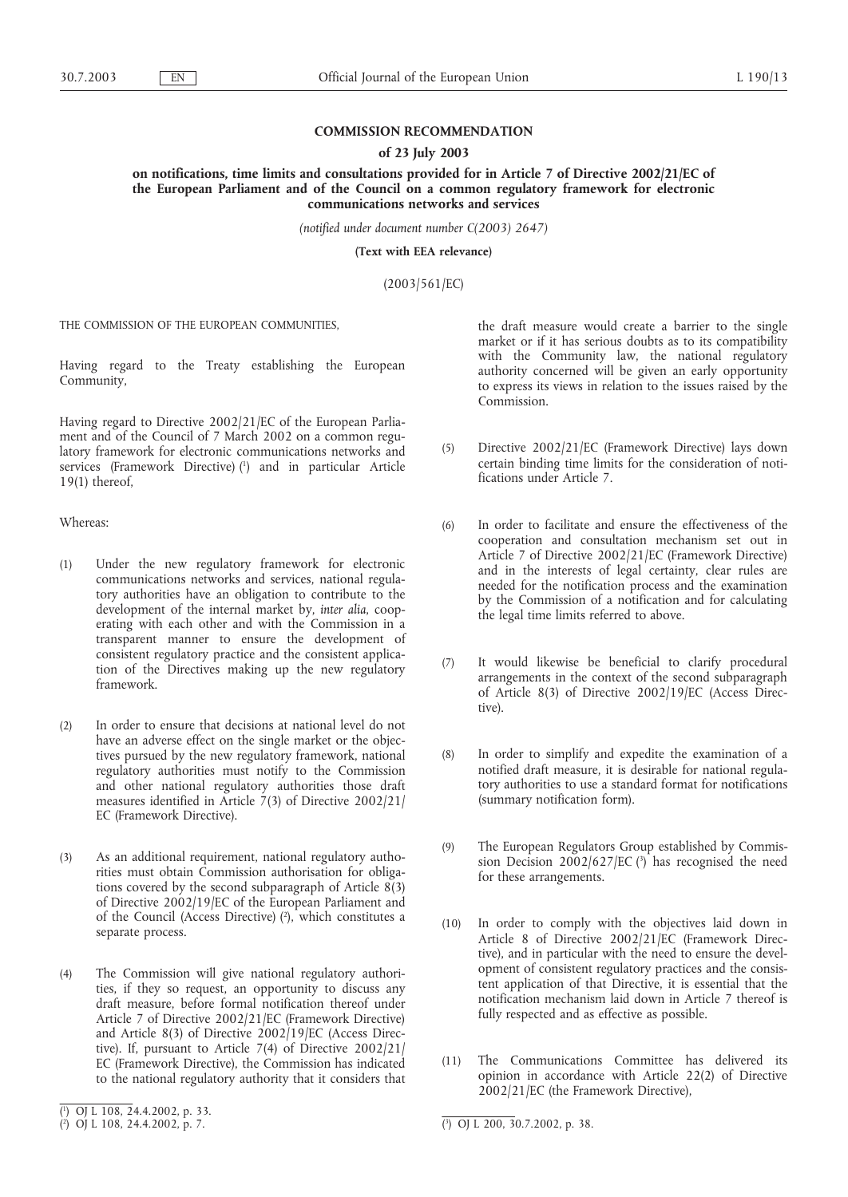# **COMMISSION RECOMMENDATION**

### **of 23 July 2003**

**on notifications, time limits and consultations provided for in Article 7 of Directive 2002/21/EC of the European Parliament and of the Council on a common regulatory framework for electronic communications networks and services**

*(notified under document number C(2003) 2647)*

**(Text with EEA relevance)**

(2003/561/EC)

THE COMMISSION OF THE EUROPEAN COMMUNITIES,

Having regard to the Treaty establishing the European Community,

Having regard to Directive 2002/21/EC of the European Parliament and of the Council of 7 March 2002 on a common regulatory framework for electronic communications networks and services (Framework Directive) (1) and in particular Article 19(1) thereof,

Whereas:

- (1) Under the new regulatory framework for electronic communications networks and services, national regulatory authorities have an obligation to contribute to the development of the internal market by, *inter alia*, cooperating with each other and with the Commission in a transparent manner to ensure the development of consistent regulatory practice and the consistent application of the Directives making up the new regulatory framework.
- (2) In order to ensure that decisions at national level do not have an adverse effect on the single market or the objectives pursued by the new regulatory framework, national regulatory authorities must notify to the Commission and other national regulatory authorities those draft measures identified in Article  $7(3)$  of Directive 2002/21/ EC (Framework Directive).
- (3) As an additional requirement, national regulatory authorities must obtain Commission authorisation for obligations covered by the second subparagraph of Article 8(3) of Directive 2002/19/EC of the European Parliament and of the Council (Access Directive) (2 ), which constitutes a separate process.
- (4) The Commission will give national regulatory authorities, if they so request, an opportunity to discuss any draft measure, before formal notification thereof under Article 7 of Directive 2002/21/EC (Framework Directive) and Article 8(3) of Directive 2002/19/EC (Access Directive). If, pursuant to Article 7(4) of Directive 2002/21/ EC (Framework Directive), the Commission has indicated to the national regulatory authority that it considers that

the draft measure would create a barrier to the single market or if it has serious doubts as to its compatibility with the Community law, the national regulatory authority concerned will be given an early opportunity to express its views in relation to the issues raised by the Commission.

- (5) Directive 2002/21/EC (Framework Directive) lays down certain binding time limits for the consideration of notifications under Article 7.
- (6) In order to facilitate and ensure the effectiveness of the cooperation and consultation mechanism set out in Article 7 of Directive 2002/21/EC (Framework Directive) and in the interests of legal certainty, clear rules are needed for the notification process and the examination by the Commission of a notification and for calculating the legal time limits referred to above.
- (7) It would likewise be beneficial to clarify procedural arrangements in the context of the second subparagraph of Article 8(3) of Directive 2002/19/EC (Access Directive).
- (8) In order to simplify and expedite the examination of a notified draft measure, it is desirable for national regulatory authorities to use a standard format for notifications (summary notification form).
- (9) The European Regulators Group established by Commission Decision 2002/627/EC (3) has recognised the need for these arrangements.
- (10) In order to comply with the objectives laid down in Article 8 of Directive 2002/21/EC (Framework Directive), and in particular with the need to ensure the development of consistent regulatory practices and the consistent application of that Directive, it is essential that the notification mechanism laid down in Article 7 thereof is fully respected and as effective as possible.
- (11) The Communications Committee has delivered its opinion in accordance with Article 22(2) of Directive 2002/21/EC (the Framework Directive),

3 ) OJ L 200, 30.7.2002, p. 38.

<sup>(</sup> 1 ) OJ L 108, 24.4.2002, p. 33.

 $\binom{2}{1}$  OJ L 108, 24.4.2002, p. 7.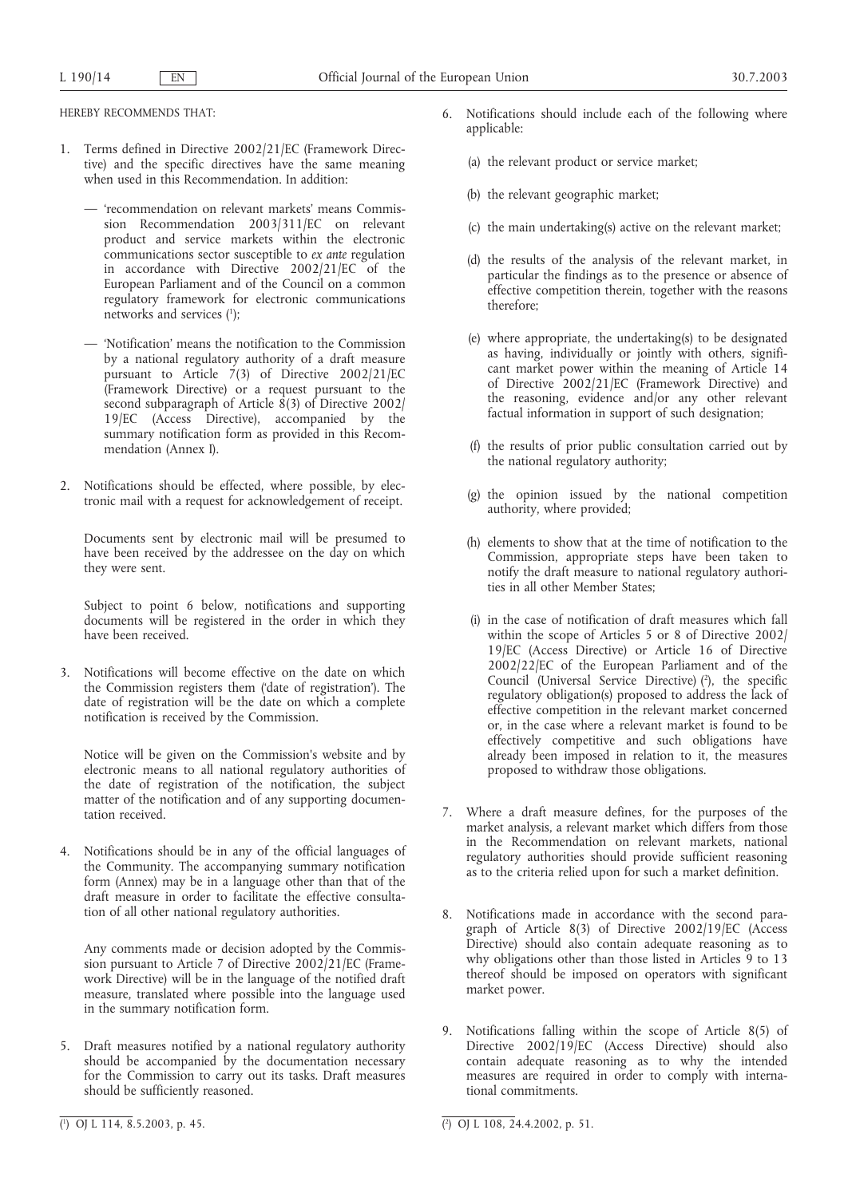HEREBY RECOMMENDS THAT:

- 1. Terms defined in Directive 2002/21/EC (Framework Directive) and the specific directives have the same meaning when used in this Recommendation. In addition:
	- 'recommendation on relevant markets' means Commission Recommendation 2003/311/EC on relevant product and service markets within the electronic communications sector susceptible to *ex ante* regulation in accordance with Directive 2002/21/EC of the European Parliament and of the Council on a common regulatory framework for electronic communications networks and services (1 );
	- 'Notification' means the notification to the Commission by a national regulatory authority of a draft measure pursuant to Article 7(3) of Directive 2002/21/EC  $($ Framework Directive $)$  or a request pursuant to the second subparagraph of Article  $\hat{8}(3)$  of Directive 2002/ 19/EC (Access Directive), accompanied by the summary notification form as provided in this Recommendation (Annex I).
- 2. Notifications should be effected, where possible, by electronic mail with a request for acknowledgement of receipt.

Documents sent by electronic mail will be presumed to have been received by the addressee on the day on which they were sent.

Subject to point 6 below, notifications and supporting documents will be registered in the order in which they have been received.

3. Notifications will become effective on the date on which the Commission registers them ('date of registration'). The date of registration will be the date on which a complete notification is received by the Commission.

Notice will be given on the Commission's website and by electronic means to all national regulatory authorities of the date of registration of the notification, the subject matter of the notification and of any supporting documentation received.

4. Notifications should be in any of the official languages of the Community. The accompanying summary notification form (Annex) may be in a language other than that of the draft measure in order to facilitate the effective consultation of all other national regulatory authorities.

Any comments made or decision adopted by the Commission pursuant to Article 7 of Directive 2002/21/EC (Framework Directive) will be in the language of the notified draft measure, translated where possible into the language used in the summary notification form.

5. Draft measures notified by a national regulatory authority should be accompanied by the documentation necessary for the Commission to carry out its tasks. Draft measures should be sufficiently reasoned.

- 6. Notifications should include each of the following where applicable:
	- (a) the relevant product or service market;
	- (b) the relevant geographic market;
	- (c) the main undertaking(s) active on the relevant market;
	- (d) the results of the analysis of the relevant market, in particular the findings as to the presence or absence of effective competition therein, together with the reasons therefore;
	- (e) where appropriate, the undertaking(s) to be designated as having, individually or jointly with others, significant market power within the meaning of Article 14 of Directive 2002/21/EC (Framework Directive) and the reasoning, evidence and/or any other relevant factual information in support of such designation;
	- (f) the results of prior public consultation carried out by the national regulatory authority;
	- (g) the opinion issued by the national competition authority, where provided;
	- (h) elements to show that at the time of notification to the Commission, appropriate steps have been taken to notify the draft measure to national regulatory authorities in all other Member States;
	- (i) in the case of notification of draft measures which fall within the scope of Articles 5 or 8 of Directive 2002/ 19/EC (Access Directive) or Article 16 of Directive 2002/22/EC of the European Parliament and of the Council (Universal Service Directive)  $(2)$ , the specific regulatory obligation(s) proposed to address the lack of effective competition in the relevant market concerned or, in the case where a relevant market is found to be effectively competitive and such obligations have already been imposed in relation to it, the measures proposed to withdraw those obligations.
- 7. Where a draft measure defines, for the purposes of the market analysis, a relevant market which differs from those in the Recommendation on relevant markets, national regulatory authorities should provide sufficient reasoning as to the criteria relied upon for such a market definition.
- 8. Notifications made in accordance with the second paragraph of Article 8(3) of Directive 2002/19/EC (Access Directive) should also contain adequate reasoning as to why obligations other than those listed in Articles 9 to 13 thereof should be imposed on operators with significant market power.
- 9. Notifications falling within the scope of Article 8(5) of Directive 2002/19/EC (Access Directive) should also contain adequate reasoning as to why the intended measures are required in order to comply with international commitments.

<sup>2</sup> ) OJ L 108, 24.4.2002, p. 51.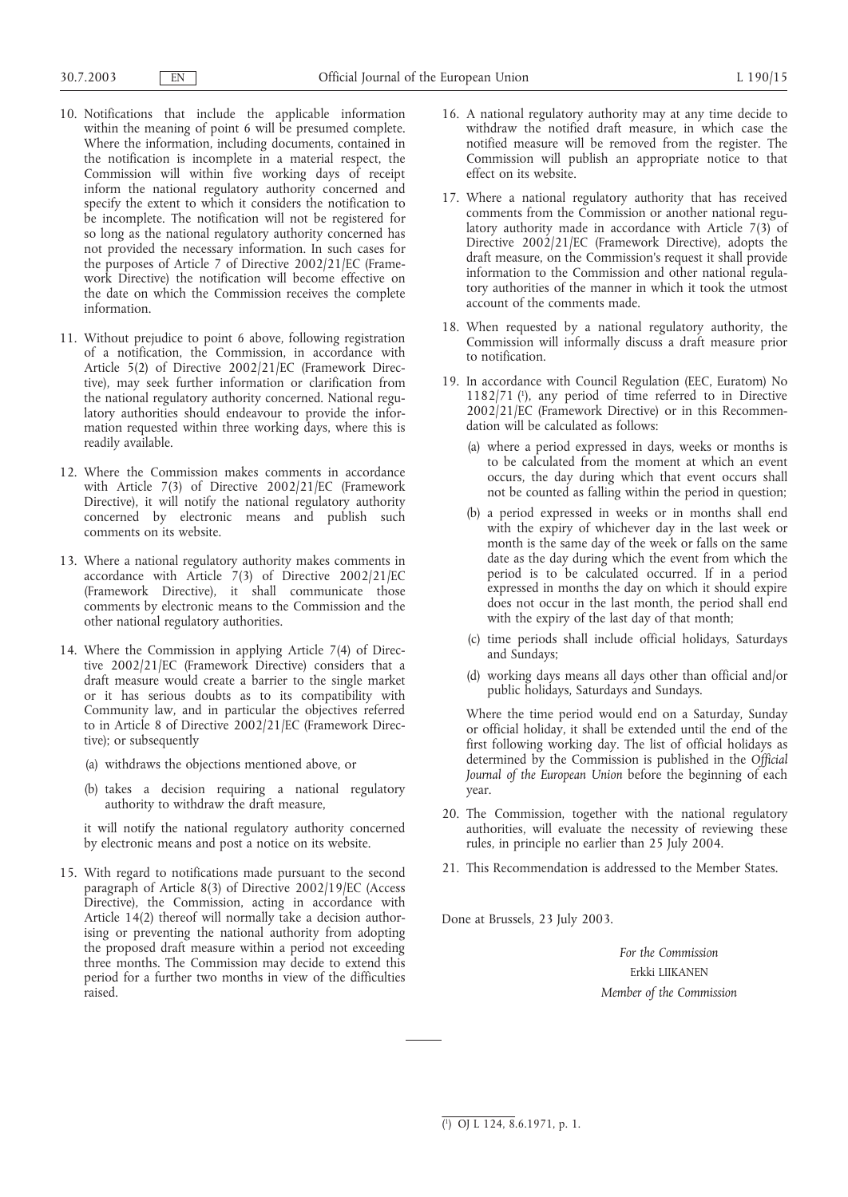- 10. Notifications that include the applicable information within the meaning of point 6 will be presumed complete. Where the information, including documents, contained in the notification is incomplete in a material respect, the Commission will within five working days of receipt inform the national regulatory authority concerned and specify the extent to which it considers the notification to be incomplete. The notification will not be registered for so long as the national regulatory authority concerned has not provided the necessary information. In such cases for the purposes of Article 7 of Directive 2002/21/EC (Framework Directive) the notification will become effective on the date on which the Commission receives the complete information.
- 11. Without prejudice to point 6 above, following registration of a notification, the Commission, in accordance with Article 5(2) of Directive 2002/21/EC (Framework Directive), may seek further information or clarification from the national regulatory authority concerned. National regulatory authorities should endeavour to provide the information requested within three working days, where this is readily available.
- 12. Where the Commission makes comments in accordance with Article 7(3) of Directive 2002/21/EC (Framework Directive), it will notify the national regulatory authority concerned by electronic means and publish such comments on its website.
- 13. Where a national regulatory authority makes comments in accordance with Article 7(3) of Directive 2002/21/EC (Framework Directive), it shall communicate those comments by electronic means to the Commission and the other national regulatory authorities.
- 14. Where the Commission in applying Article 7(4) of Directive 2002/21/EC (Framework Directive) considers that a draft measure would create a barrier to the single market or it has serious doubts as to its compatibility with Community law, and in particular the objectives referred to in Article 8 of Directive 2002/21/EC (Framework Directive); or subsequently
	- (a) withdraws the objections mentioned above, or
	- (b) takes a decision requiring a national regulatory authority to withdraw the draft measure,

it will notify the national regulatory authority concerned by electronic means and post a notice on its website.

15. With regard to notifications made pursuant to the second paragraph of Article 8(3) of Directive 2002/19/EC (Access Directive), the Commission, acting in accordance with Article 14(2) thereof will normally take a decision authorising or preventing the national authority from adopting the proposed draft measure within a period not exceeding three months. The Commission may decide to extend this period for a further two months in view of the difficulties raised.

- 16. A national regulatory authority may at any time decide to withdraw the notified draft measure, in which case the notified measure will be removed from the register. The Commission will publish an appropriate notice to that effect on its website.
- 17. Where a national regulatory authority that has received comments from the Commission or another national regulatory authority made in accordance with Article 7(3) of Directive 2002/21/EC (Framework Directive), adopts the draft measure, on the Commission's request it shall provide information to the Commission and other national regulatory authorities of the manner in which it took the utmost account of the comments made.
- 18. When requested by a national regulatory authority, the Commission will informally discuss a draft measure prior to notification.
- 19. In accordance with Council Regulation (EEC, Euratom) No 1182/71 (1), any period of time referred to in Directive 2002/21/EC (Framework Directive) or in this Recommendation will be calculated as follows:
	- (a) where a period expressed in days, weeks or months is to be calculated from the moment at which an event occurs, the day during which that event occurs shall not be counted as falling within the period in question;
	- (b) a period expressed in weeks or in months shall end with the expiry of whichever day in the last week or month is the same day of the week or falls on the same date as the day during which the event from which the period is to be calculated occurred. If in a period expressed in months the day on which it should expire does not occur in the last month, the period shall end with the expiry of the last day of that month;
	- (c) time periods shall include official holidays, Saturdays and Sundays;
	- (d) working days means all days other than official and/or public holidays, Saturdays and Sundays.

Where the time period would end on a Saturday, Sunday or official holiday, it shall be extended until the end of the first following working day. The list of official holidays as determined by the Commission is published in the *Official Journal of the European Union* before the beginning of each year.

- 20. The Commission, together with the national regulatory authorities, will evaluate the necessity of reviewing these rules, in principle no earlier than 25 July 2004.
- 21. This Recommendation is addressed to the Member States.

Done at Brussels, 23 July 2003.

*For the Commission* Erkki LIIKANEN *Member of the Commission*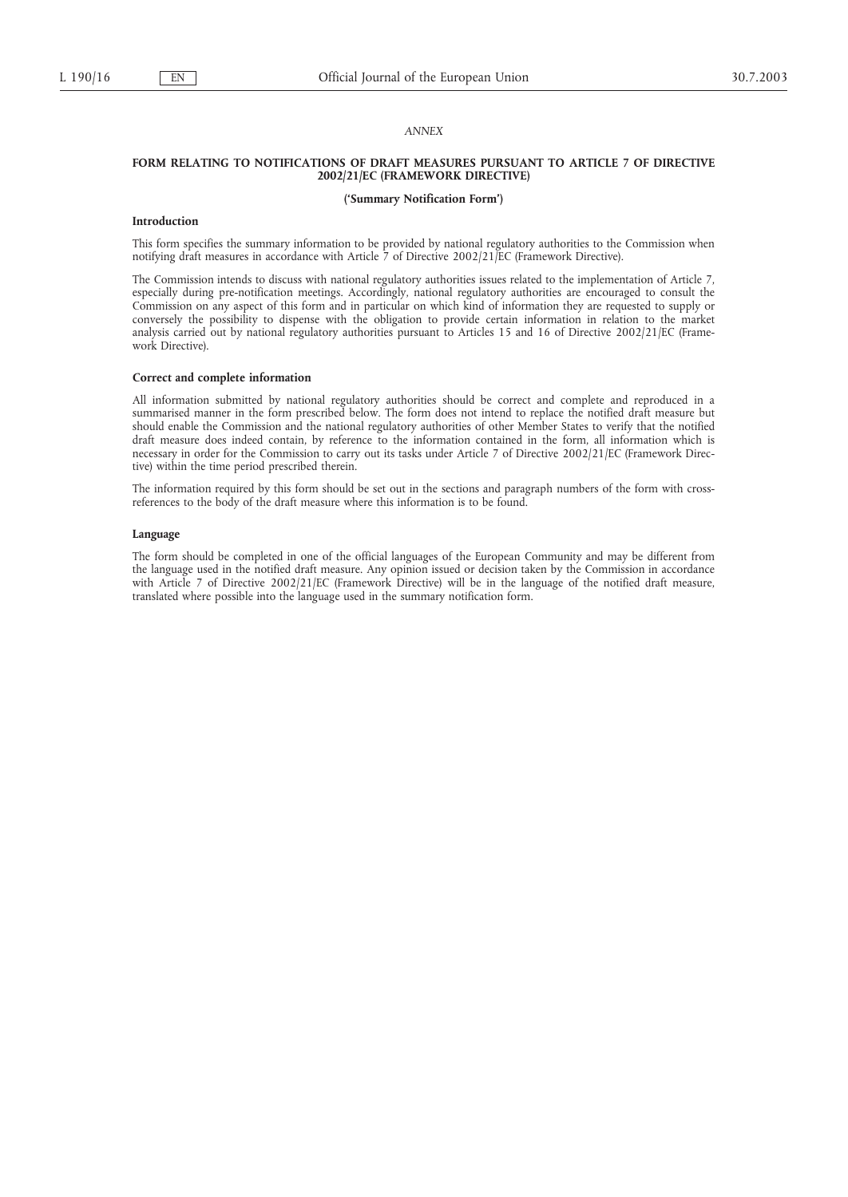### *ANNEX*

### **FORM RELATING TO NOTIFICATIONS OF DRAFT MEASURES PURSUANT TO ARTICLE 7 OF DIRECTIVE 2002/21/EC (FRAMEWORK DIRECTIVE)**

### **('Summary Notification Form')**

#### **Introduction**

This form specifies the summary information to be provided by national regulatory authorities to the Commission when notifying draft measures in accordance with Article 7 of Directive 2002/21/EC (Framework Directive).

The Commission intends to discuss with national regulatory authorities issues related to the implementation of Article 7, especially during pre-notification meetings. Accordingly, national regulatory authorities are encouraged to consult the Commission on any aspect of this form and in particular on which kind of information they are requested to supply or conversely the possibility to dispense with the obligation to provide certain information in relation to the market analysis carried out by national regulatory authorities pursuant to Articles 15 and 16 of Directive 2002/21/EC (Framework Directive).

#### **Correct and complete information**

All information submitted by national regulatory authorities should be correct and complete and reproduced in a summarised manner in the form prescribed below. The form does not intend to replace the notified draft measure but should enable the Commission and the national regulatory authorities of other Member States to verify that the notified draft measure does indeed contain, by reference to the information contained in the form, all information which is necessary in order for the Commission to carry out its tasks under Article 7 of Directive 2002/21/EC (Framework Directive) within the time period prescribed therein.

The information required by this form should be set out in the sections and paragraph numbers of the form with crossreferences to the body of the draft measure where this information is to be found.

#### **Language**

The form should be completed in one of the official languages of the European Community and may be different from the language used in the notified draft measure. Any opinion issued or decision taken by the Commission in accordance with Article 7 of Directive 2002/21/EC (Framework Directive) will be in the language of the notified draft measure, translated where possible into the language used in the summary notification form.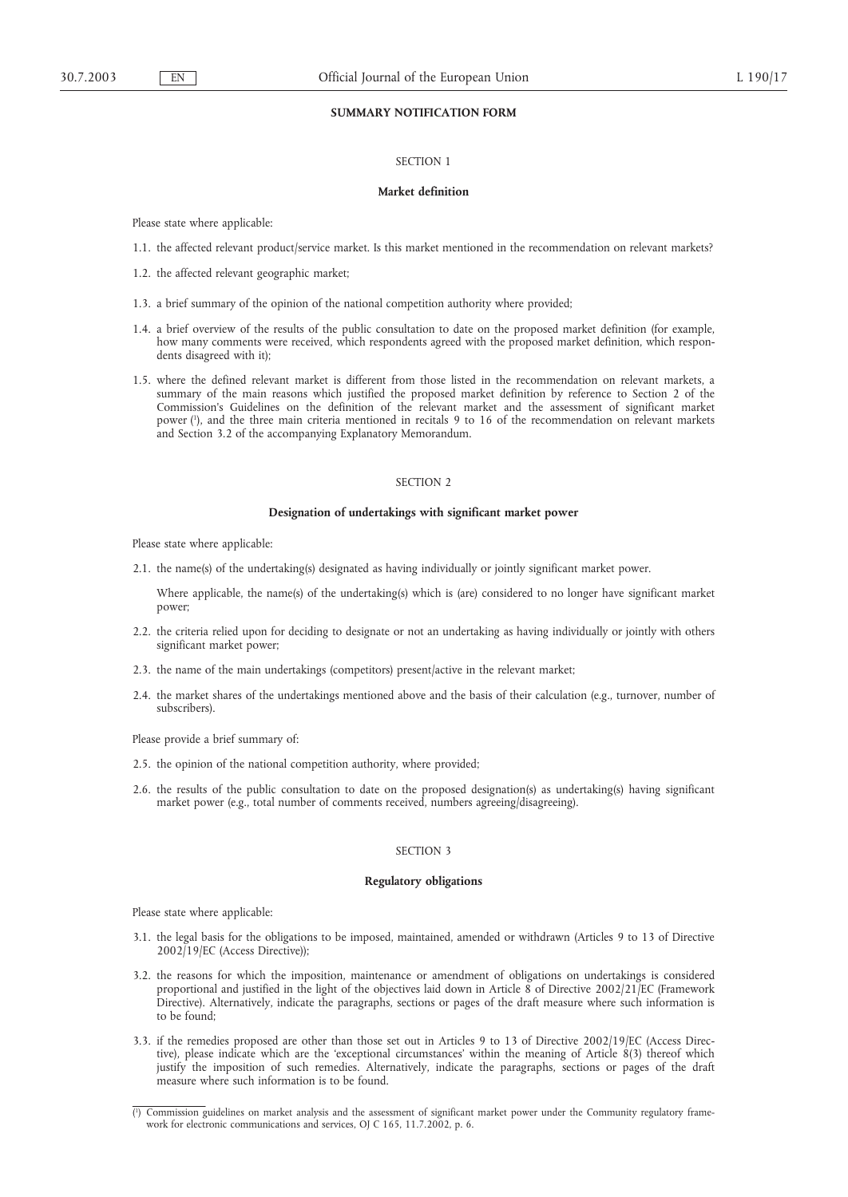## **SUMMARY NOTIFICATION FORM**

## SECTION 1

### **Market definition**

Please state where applicable:

- 1.1. the affected relevant product/service market. Is this market mentioned in the recommendation on relevant markets?
- 1.2. the affected relevant geographic market;
- 1.3. a brief summary of the opinion of the national competition authority where provided;
- 1.4. a brief overview of the results of the public consultation to date on the proposed market definition (for example, how many comments were received, which respondents agreed with the proposed market definition, which respondents disagreed with it);
- 1.5. where the defined relevant market is different from those listed in the recommendation on relevant markets, a summary of the main reasons which justified the proposed market definition by reference to Section 2 of the Commission's Guidelines on the definition of the relevant market and the assessment of significant market power (1 ), and the three main criteria mentioned in recitals 9 to 16 of the recommendation on relevant markets and Section 3.2 of the accompanying Explanatory Memorandum.

#### SECTION<sub>2</sub>

### **Designation of undertakings with significant market power**

Please state where applicable:

2.1. the name(s) of the undertaking(s) designated as having individually or jointly significant market power.

Where applicable, the name(s) of the undertaking(s) which is (are) considered to no longer have significant market power;

- 2.2. the criteria relied upon for deciding to designate or not an undertaking as having individually or jointly with others significant market power;
- 2.3. the name of the main undertakings (competitors) present/active in the relevant market;
- 2.4. the market shares of the undertakings mentioned above and the basis of their calculation (e.g., turnover, number of subscribers).

Please provide a brief summary of:

- 2.5. the opinion of the national competition authority, where provided;
- 2.6. the results of the public consultation to date on the proposed designation(s) as undertaking(s) having significant market power (e.g., total number of comments received, numbers agreeing/disagreeing).

## SECTION 3

#### **Regulatory obligations**

Please state where applicable:

- 3.1. the legal basis for the obligations to be imposed, maintained, amended or withdrawn (Articles 9 to 13 of Directive 2002/19/EC (Access Directive));
- 3.2. the reasons for which the imposition, maintenance or amendment of obligations on undertakings is considered proportional and justified in the light of the objectives laid down in Article 8 of Directive 2002/21/EC (Framework Directive). Alternatively, indicate the paragraphs, sections or pages of the draft measure where such information is to be found;
- 3.3. if the remedies proposed are other than those set out in Articles 9 to 13 of Directive 2002/19/EC (Access Directive), please indicate which are the 'exceptional circumstances' within the meaning of Article 8(3) thereof which justify the imposition of such remedies. Alternatively, indicate the paragraphs, sections or pages of the draft measure where such information is to be found.

<sup>(</sup> 1 ) Commission guidelines on market analysis and the assessment of significant market power under the Community regulatory framework for electronic communications and services, OJ C 165, 11.7.2002, p. 6.